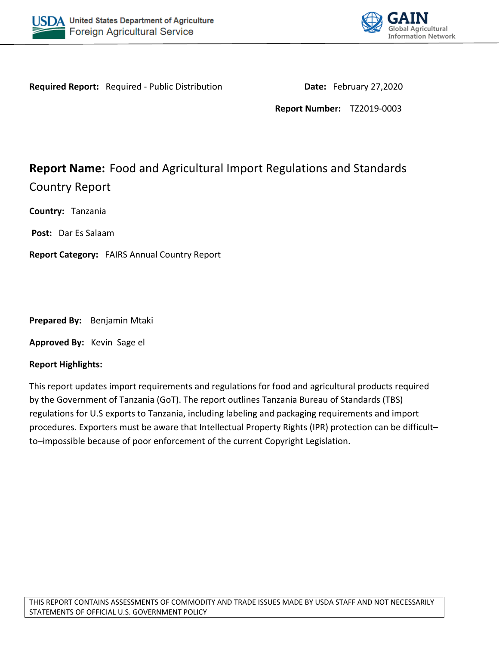



**Required Report:** Required - Public Distribution **Date:** February 27,2020

**Report Number:** TZ2019-0003

# **Report Name:** Food and Agricultural Import Regulations and Standards Country Report

**Country:** Tanzania

**Post:** Dar Es Salaam

**Report Category:** FAIRS Annual Country Report

**Prepared By:** Benjamin Mtaki

**Approved By:** Kevin Sage el

#### **Report Highlights:**

This report updates import requirements and regulations for food and agricultural products required by the Government of Tanzania (GoT). The report outlines Tanzania Bureau of Standards (TBS) regulations for U.S exports to Tanzania, including labeling and packaging requirements and import procedures. Exporters must be aware that Intellectual Property Rights (IPR) protection can be difficult– to–impossible because of poor enforcement of the current Copyright Legislation.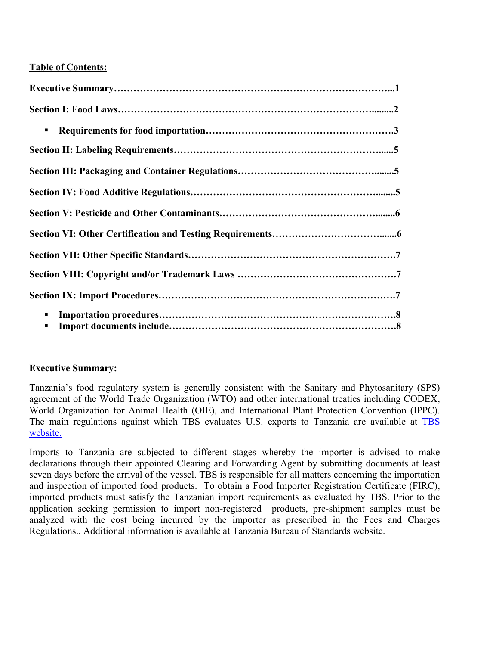# **Table of Contents:**

| ٠ |  |
|---|--|
|   |  |
|   |  |
|   |  |
|   |  |
|   |  |
|   |  |
|   |  |
|   |  |
|   |  |
|   |  |

# **Executive Summary:**

Tanzania's food regulatory system is generally consistent with the Sanitary and Phytosanitary (SPS) agreement of the World Trade Organization (WTO) and other international treaties including CODEX, World Organization for Animal Health (OIE), and International Plant Protection Convention (IPPC). The main regulations against which TBS evaluates U.S. exports to Tanzania are available at [TBS](http://www.tbs.go.tz/index.php/regulations)  [website.](http://www.tbs.go.tz/index.php/regulations)

Imports to Tanzania are subjected to different stages whereby the importer is advised to make declarations through their appointed Clearing and Forwarding Agent by submitting documents at least seven days before the arrival of the vessel. TBS is responsible for all matters concerning the importation and inspection of imported food products. To obtain a Food Importer Registration Certificate (FIRC), imported products must satisfy the Tanzanian import requirements as evaluated by TBS. Prior to the application seeking permission to import non-registered products, pre-shipment samples must be analyzed with the cost being incurred by the importer as prescribed in the Fees and Charges Regulations.. Additional information is available at Tanzania Bureau of Standards website.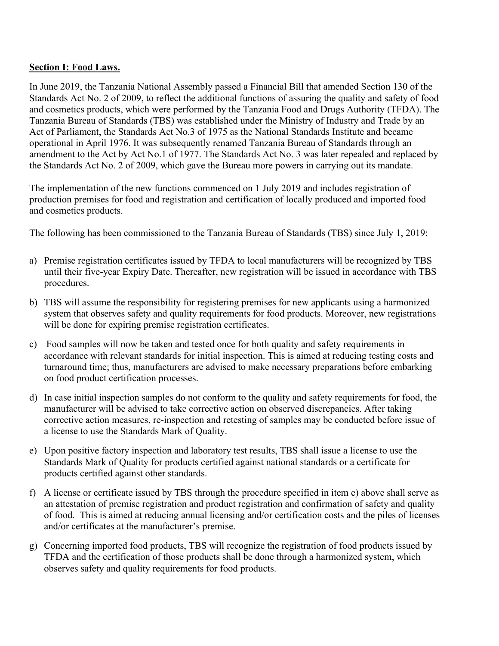# **Section I: Food Laws.**

In June 2019, the Tanzania National Assembly passed a Financial Bill that amended Section 130 of the Standards Act No. 2 of 2009, to reflect the additional functions of assuring the quality and safety of food and cosmetics products, which were performed by the Tanzania Food and Drugs Authority (TFDA). The Tanzania Bureau of Standards (TBS) was established under the Ministry of Industry and Trade by an Act of Parliament, the Standards Act No.3 of 1975 as the National Standards Institute and became operational in April 1976. It was subsequently renamed Tanzania Bureau of Standards through an amendment to the Act by Act No.1 of 1977. The Standards Act No. 3 was later repealed and replaced by the Standards Act No. 2 of 2009, which gave the Bureau more powers in carrying out its mandate.

The implementation of the new functions commenced on 1 July 2019 and includes registration of production premises for food and registration and certification of locally produced and imported food and cosmetics products.

The following has been commissioned to the Tanzania Bureau of Standards (TBS) since July 1, 2019:

- a) Premise registration certificates issued by TFDA to local manufacturers will be recognized by TBS until their five-year Expiry Date. Thereafter, new registration will be issued in accordance with TBS procedures.
- b) TBS will assume the responsibility for registering premises for new applicants using a harmonized system that observes safety and quality requirements for food products. Moreover, new registrations will be done for expiring premise registration certificates.
- c) Food samples will now be taken and tested once for both quality and safety requirements in accordance with relevant standards for initial inspection. This is aimed at reducing testing costs and turnaround time; thus, manufacturers are advised to make necessary preparations before embarking on food product certification processes.
- d) In case initial inspection samples do not conform to the quality and safety requirements for food, the manufacturer will be advised to take corrective action on observed discrepancies. After taking corrective action measures, re-inspection and retesting of samples may be conducted before issue of a license to use the Standards Mark of Quality.
- e) Upon positive factory inspection and laboratory test results, TBS shall issue a license to use the Standards Mark of Quality for products certified against national standards or a certificate for products certified against other standards.
- f) A license or certificate issued by TBS through the procedure specified in item e) above shall serve as an attestation of premise registration and product registration and confirmation of safety and quality of food. This is aimed at reducing annual licensing and/or certification costs and the piles of licenses and/or certificates at the manufacturer's premise.
- g) Concerning imported food products, TBS will recognize the registration of food products issued by TFDA and the certification of those products shall be done through a harmonized system, which observes safety and quality requirements for food products.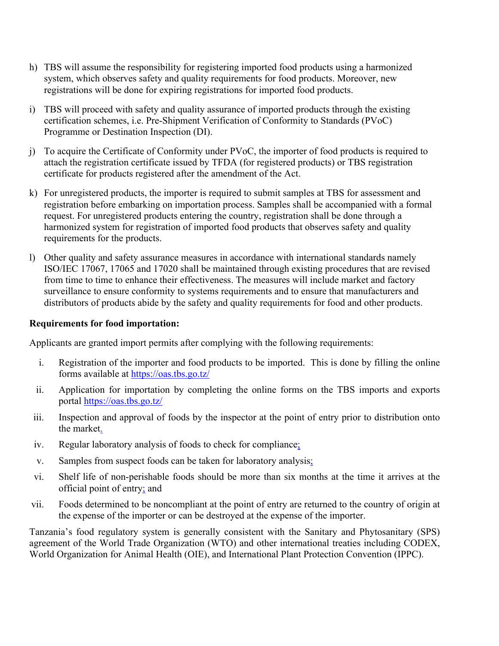- h) TBS will assume the responsibility for registering imported food products using a harmonized system, which observes safety and quality requirements for food products. Moreover, new registrations will be done for expiring registrations for imported food products.
- i) TBS will proceed with safety and quality assurance of imported products through the existing certification schemes, i.e. Pre-Shipment Verification of Conformity to Standards (PVoC) Programme or Destination Inspection (DI).
- j) To acquire the Certificate of Conformity under PVoC, the importer of food products is required to attach the registration certificate issued by TFDA (for registered products) or TBS registration certificate for products registered after the amendment of the Act.
- k) For unregistered products, the importer is required to submit samples at TBS for assessment and registration before embarking on importation process. Samples shall be accompanied with a formal request. For unregistered products entering the country, registration shall be done through a harmonized system for registration of imported food products that observes safety and quality requirements for the products.
- l) Other quality and safety assurance measures in accordance with international standards namely ISO/IEC 17067, 17065 and 17020 shall be maintained through existing procedures that are revised from time to time to enhance their effectiveness. The measures will include market and factory surveillance to ensure conformity to systems requirements and to ensure that manufacturers and distributors of products abide by the safety and quality requirements for food and other products.

### **Requirements for food importation:**

Applicants are granted import permits after complying with the following requirements:

- i. Registration of the importer and food products to be imported. This is done by filling the online forms available at <https://oas.tbs.go.tz/>
- ii. Application for importation by completing the online forms on the TBS imports and exports portal <https://oas.tbs.go.tz/>
- iii. Inspection and approval of foods by the inspector at the point of entry prior to distribution onto the market.
- iv. Regular laboratory analysis of foods to check for compliance;
- v. Samples from suspect foods can be taken for laboratory analysis;
- vi. Shelf life of non-perishable foods should be more than six months at the time it arrives at the official point of entry; and
- vii. Foods determined to be noncompliant at the point of entry are returned to the country of origin at the expense of the importer or can be destroyed at the expense of the importer.

Tanzania's food regulatory system is generally consistent with the Sanitary and Phytosanitary (SPS) agreement of the World Trade Organization (WTO) and other international treaties including CODEX, World Organization for Animal Health (OIE), and International Plant Protection Convention (IPPC).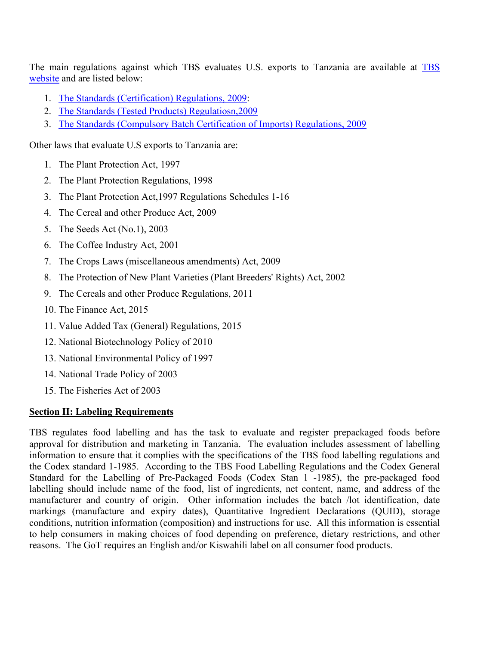The main regulations against which [TBS](http://www.tbs.go.tz/index.php/regulations) evaluates U.S. exports to Tanzania are available at TBS [website](http://www.tbs.go.tz/index.php/regulations) and are listed below:

- 1. [The Standards \(Certification\) Regulations, 2009:](http://www.tbs.go.tz/images/uploads/Certification_Regulations.pdf)
- 2. [The Standards \(Tested Products\) Regulatiosn,2009](http://www.tbs.go.tz/images/uploads/Tested_Product_Certification_Regulations-1.pdf)
- 3. [The Standards \(Compulsory Batch Certification of Imports\) Regulations, 2009](http://www.tbs.go.tz/images/uploads/Batch_Certification_Regulations.pdf)

Other laws that evaluate U.S exports to Tanzania are:

- 1. The Plant Protection Act, 1997
- 2. The Plant Protection Regulations, 1998
- 3. The Plant Protection Act,1997 Regulations Schedules 1-16
- 4. The Cereal and other Produce Act, 2009
- 5. The Seeds Act (No.1), 2003
- 6. The Coffee Industry Act, 2001
- 7. The Crops Laws (miscellaneous amendments) Act, 2009
- 8. The Protection of New Plant Varieties (Plant Breeders' Rights) Act, 2002
- 9. The Cereals and other Produce Regulations, 2011
- 10. The Finance Act, 2015
- 11. Value Added Tax (General) Regulations, 2015
- 12. National Biotechnology Policy of 2010
- 13. National Environmental Policy of 1997
- 14. National Trade Policy of 2003
- 15. The Fisheries Act of 2003

#### **Section II: Labeling Requirements**

TBS regulates food labelling and has the task to evaluate and register prepackaged foods before approval for distribution and marketing in Tanzania. The evaluation includes assessment of labelling information to ensure that it complies with the specifications of the TBS food labelling regulations and the Codex standard 1-1985. According to the TBS Food Labelling Regulations and the Codex General Standard for the Labelling of Pre-Packaged Foods (Codex Stan 1 -1985), the pre-packaged food labelling should include name of the food, list of ingredients, net content, name, and address of the manufacturer and country of origin. Other information includes the batch /lot identification, date markings (manufacture and expiry dates), Quantitative Ingredient Declarations (QUID), storage conditions, nutrition information (composition) and instructions for use. All this information is essential to help consumers in making choices of food depending on preference, dietary restrictions, and other reasons. The GoT requires an English and/or Kiswahili label on all consumer food products.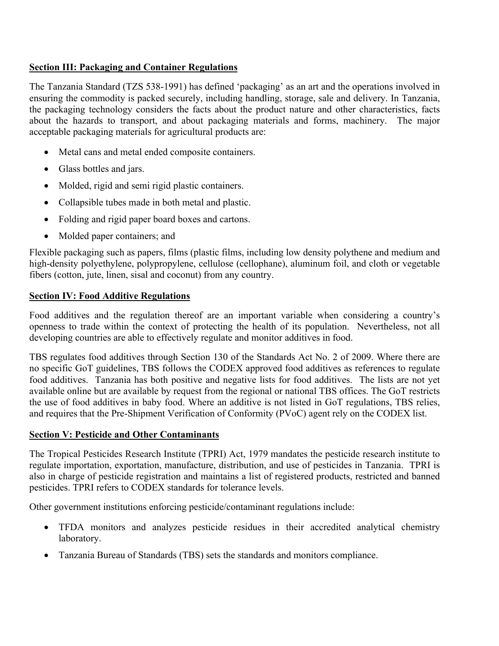# **Section III: Packaging and Container Regulations**

The Tanzania Standard (TZS 538-1991) has defined 'packaging' as an art and the operations involved in ensuring the commodity is packed securely, including handling, storage, sale and delivery. In Tanzania, the packaging technology considers the facts about the product nature and other characteristics, facts about the hazards to transport, and about packaging materials and forms, machinery. The major acceptable packaging materials for agricultural products are:

- Metal cans and metal ended composite containers.
- Glass bottles and jars.
- Molded, rigid and semi rigid plastic containers.
- Collapsible tubes made in both metal and plastic.
- Folding and rigid paper board boxes and cartons.
- Molded paper containers; and

Flexible packaging such as papers, films (plastic films, including low density polythene and medium and high-density polyethylene, polypropylene, cellulose (cellophane), aluminum foil, and cloth or vegetable fibers (cotton, jute, linen, sisal and coconut) from any country.

# **Section IV: Food Additive Regulations**

Food additives and the regulation thereof are an important variable when considering a country's openness to trade within the context of protecting the health of its population. Nevertheless, not all developing countries are able to effectively regulate and monitor additives in food.

TBS regulates food additives through Section 130 of the Standards Act No. 2 of 2009. Where there are no specific GoT guidelines, TBS follows the CODEX approved food additives as references to regulate food additives. Tanzania has both positive and negative lists for food additives. The lists are not yet available online but are available by request from the regional or national TBS offices. The GoT restricts the use of food additives in baby food. Where an additive is not listed in GoT regulations, TBS relies, and requires that the Pre-Shipment Verification of Conformity (PVoC) agent rely on the CODEX list.

#### **Section V: Pesticide and Other Contaminants**

The Tropical Pesticides Research Institute (TPRI) Act, 1979 mandates the pesticide research institute to regulate importation, exportation, manufacture, distribution, and use of pesticides in Tanzania. TPRI is also in charge of pesticide registration and maintains a list of registered products, restricted and banned pesticides. TPRI refers to CODEX standards for tolerance levels.

Other government institutions enforcing pesticide/contaminant regulations include:

- TFDA monitors and analyzes pesticide residues in their accredited analytical chemistry laboratory.
- Tanzania Bureau of Standards (TBS) sets the standards and monitors compliance.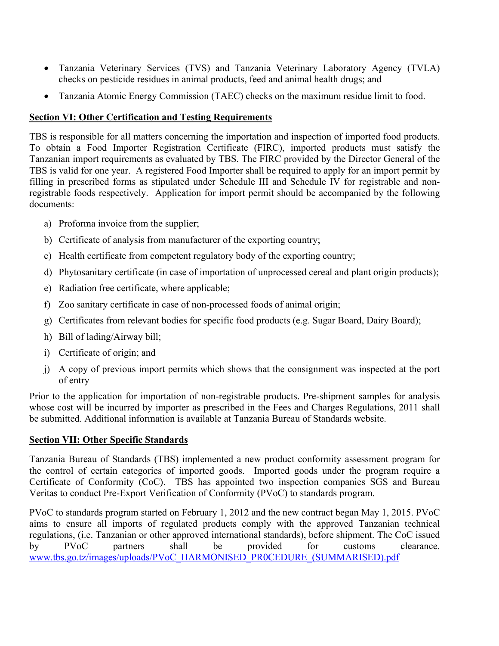- Tanzania Veterinary Services (TVS) and Tanzania Veterinary Laboratory Agency (TVLA) checks on pesticide residues in animal products, feed and animal health drugs; and
- Tanzania Atomic Energy Commission (TAEC) checks on the maximum residue limit to food.

# **Section VI: Other Certification and Testing Requirements**

TBS is responsible for all matters concerning the importation and inspection of imported food products. To obtain a Food Importer Registration Certificate (FIRC), imported products must satisfy the Tanzanian import requirements as evaluated by TBS. The FIRC provided by the Director General of the TBS is valid for one year. A registered Food Importer shall be required to apply for an import permit by filling in prescribed forms as stipulated under Schedule III and Schedule IV for registrable and nonregistrable foods respectively. Application for import permit should be accompanied by the following documents:

- a) Proforma invoice from the supplier;
- b) Certificate of analysis from manufacturer of the exporting country;
- c) Health certificate from competent regulatory body of the exporting country;
- d) Phytosanitary certificate (in case of importation of unprocessed cereal and plant origin products);
- e) Radiation free certificate, where applicable;
- f) Zoo sanitary certificate in case of non-processed foods of animal origin;
- g) Certificates from relevant bodies for specific food products (e.g. Sugar Board, Dairy Board);
- h) Bill of lading/Airway bill;
- i) Certificate of origin; and
- j) A copy of previous import permits which shows that the consignment was inspected at the port of entry

Prior to the application for importation of non-registrable products. Pre-shipment samples for analysis whose cost will be incurred by importer as prescribed in the Fees and Charges Regulations, 2011 shall be submitted. Additional information is available at Tanzania Bureau of Standards website.

# **Section VII: Other Specific Standards**

Tanzania Bureau of Standards (TBS) implemented a new product conformity assessment program for the control of certain categories of imported goods. Imported goods under the program require a Certificate of Conformity (CoC). TBS has appointed two inspection companies SGS and Bureau Veritas to conduct Pre-Export Verification of Conformity (PVoC) to standards program.

PVoC to standards program started on February 1, 2012 and the new contract began May 1, 2015. PVoC aims to ensure all imports of regulated products comply with the approved Tanzanian technical regulations, (i.e. Tanzanian or other approved international standards), before shipment. The CoC issued by PVoC partners shall be provided for customs clearance. [www.tbs.go.tz/images/uploads/PVoC\\_HARMONISED\\_PR0CEDURE\\_\(SUMMARISED\).pdf](http://www.tbs.go.tz/images/uploads/PVoC_HARMONISED_PR0CEDURE_(SUMMARISED).pdf)